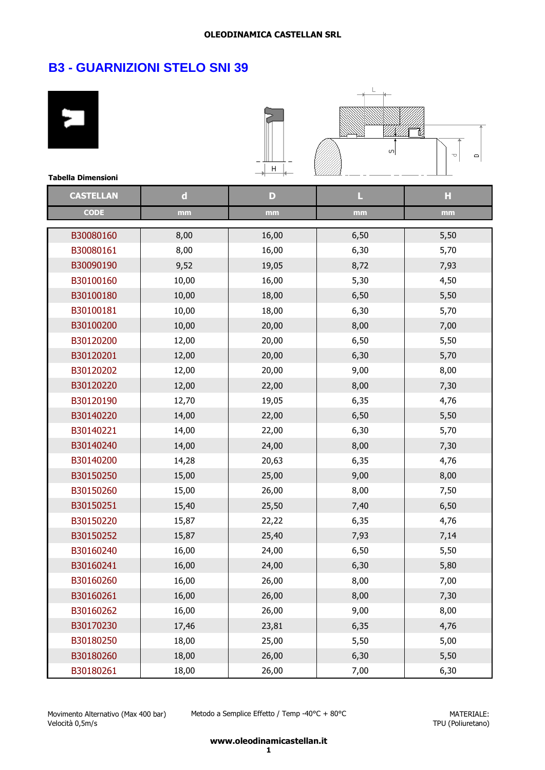| <b>Tabella Dimensioni</b> |             | Н     | $\sigma$ | T<br>$\Box$ |
|---------------------------|-------------|-------|----------|-------------|
| <b>CASTELLAN</b>          | $\mathbf d$ | D     | L        | H           |
| <b>CODE</b>               | mm          | mm    | mm       | mm          |
|                           |             |       |          |             |
| B30080160                 | 8,00        | 16,00 | 6,50     | 5,50        |
| B30080161                 | 8,00        | 16,00 | 6,30     | 5,70        |
| B30090190                 | 9,52        | 19,05 | 8,72     | 7,93        |
| B30100160                 | 10,00       | 16,00 | 5,30     | 4,50        |
| B30100180                 | 10,00       | 18,00 | 6,50     | 5,50        |
| B30100181                 | 10,00       | 18,00 | 6,30     | 5,70        |
| B30100200                 | 10,00       | 20,00 | 8,00     | 7,00        |
| B30120200                 | 12,00       | 20,00 | 6,50     | 5,50        |
| B30120201                 | 12,00       | 20,00 | 6,30     | 5,70        |
| B30120202                 | 12,00       | 20,00 | 9,00     | 8,00        |
| B30120220                 | 12,00       | 22,00 | 8,00     | 7,30        |
| B30120190                 | 12,70       | 19,05 | 6,35     | 4,76        |
| B30140220                 | 14,00       | 22,00 | 6,50     | 5,50        |
| B30140221                 | 14,00       | 22,00 | 6,30     | 5,70        |
| B30140240                 | 14,00       | 24,00 | 8,00     | 7,30        |
| B30140200                 | 14,28       | 20,63 | 6,35     | 4,76        |
| B30150250                 | 15,00       | 25,00 | 9,00     | 8,00        |
| B30150260                 | 15,00       | 26,00 | 8,00     | 7,50        |
| B30150251                 | 15,40       | 25,50 | 7,40     | 6,50        |
| B30150220                 | 15,87       | 22,22 | 6,35     | 4,76        |
| B30150252                 | 15,87       | 25,40 | 7,93     | 7,14        |
| B30160240                 | 16,00       | 24,00 | 6,50     | 5,50        |
| B30160241                 | 16,00       | 24,00 | 6,30     | 5,80        |
| B30160260                 | 16,00       | 26,00 | 8,00     | 7,00        |
| B30160261                 | 16,00       | 26,00 | 8,00     | 7,30        |
| B30160262                 | 16,00       | 26,00 | 9,00     | 8,00        |
| B30170230                 | 17,46       | 23,81 | 6,35     | 4,76        |
| B30180250                 | 18,00       | 25,00 | 5,50     | 5,00        |
| B30180260                 | 18,00       | 26,00 | 6,30     | 5,50        |
| B30180261                 | 18,00       | 26,00 | 7,00     | 6,30        |

Metodo a Semplice Effetto / Temp -40°C + 80°C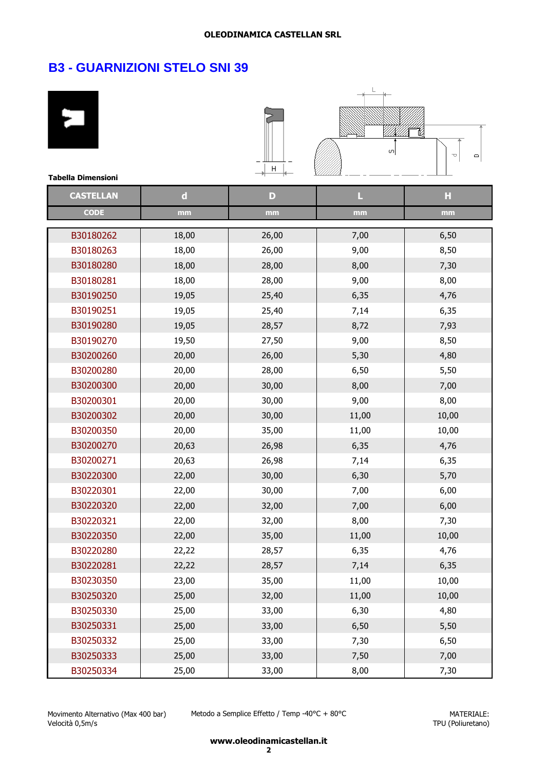| <b>Tabella Dimensioni</b> |             | Н     | $\sigma$ | T<br>Φ |
|---------------------------|-------------|-------|----------|--------|
| <b>CASTELLAN</b>          | $\mathbf d$ | D     | L        | н      |
| <b>CODE</b>               | mm          | mm    | mm       | mm     |
|                           |             |       |          |        |
| B30180262                 | 18,00       | 26,00 | 7,00     | 6,50   |
| B30180263                 | 18,00       | 26,00 | 9,00     | 8,50   |
| B30180280                 | 18,00       | 28,00 | 8,00     | 7,30   |
| B30180281                 | 18,00       | 28,00 | 9,00     | 8,00   |
| B30190250                 | 19,05       | 25,40 | 6,35     | 4,76   |
| B30190251                 | 19,05       | 25,40 | 7,14     | 6,35   |
| B30190280                 | 19,05       | 28,57 | 8,72     | 7,93   |
| B30190270                 | 19,50       | 27,50 | 9,00     | 8,50   |
| B30200260                 | 20,00       | 26,00 | 5,30     | 4,80   |
| B30200280                 | 20,00       | 28,00 | 6,50     | 5,50   |
| B30200300                 | 20,00       | 30,00 | 8,00     | 7,00   |
| B30200301                 | 20,00       | 30,00 | 9,00     | 8,00   |
| B30200302                 | 20,00       | 30,00 | 11,00    | 10,00  |
| B30200350                 | 20,00       | 35,00 | 11,00    | 10,00  |
| B30200270                 | 20,63       | 26,98 | 6,35     | 4,76   |
| B30200271                 | 20,63       | 26,98 | 7,14     | 6,35   |
| B30220300                 | 22,00       | 30,00 | 6,30     | 5,70   |
| B30220301                 | 22,00       | 30,00 | 7,00     | 6,00   |
| B30220320                 | 22,00       | 32,00 | 7,00     | 6,00   |
| B30220321                 | 22,00       | 32,00 | 8,00     | 7,30   |
| B30220350                 | 22,00       | 35,00 | 11,00    | 10,00  |
| B30220280                 | 22,22       | 28,57 | 6,35     | 4,76   |
| B30220281                 | 22,22       | 28,57 | 7,14     | 6,35   |
| B30230350                 | 23,00       | 35,00 | 11,00    | 10,00  |
| B30250320                 | 25,00       | 32,00 | 11,00    | 10,00  |
| B30250330                 | 25,00       | 33,00 | 6,30     | 4,80   |
| B30250331                 | 25,00       | 33,00 | 6,50     | 5,50   |
| B30250332                 | 25,00       | 33,00 | 7,30     | 6,50   |
| B30250333                 | 25,00       | 33,00 | 7,50     | 7,00   |
| B30250334                 | 25,00       | 33,00 | 8,00     | 7,30   |

Metodo a Semplice Effetto / Temp -40°C + 80°C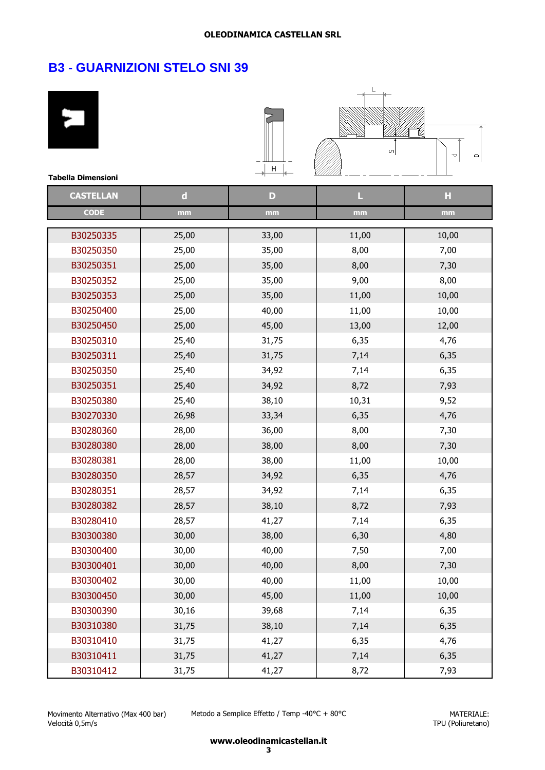# **B3 - GUARNIZIONI STELO SNI 39**

۰

| <b>Tabella Dimensioni</b> |             | Η     | ωļ    | p<br>$\Box$ |
|---------------------------|-------------|-------|-------|-------------|
| <b>CASTELLAN</b>          | $\mathbf d$ | D     | L     | н           |
| <b>CODE</b>               | mm          | mm    | mm    | mm          |
| B30250335                 | 25,00       | 33,00 | 11,00 | 10,00       |
| B30250350                 | 25,00       | 35,00 | 8,00  | 7,00        |
| B30250351                 | 25,00       | 35,00 | 8,00  | 7,30        |
| B30250352                 | 25,00       | 35,00 | 9,00  | 8,00        |
| B30250353                 | 25,00       | 35,00 | 11,00 | 10,00       |
| B30250400                 | 25,00       | 40,00 | 11,00 | 10,00       |
| B30250450                 | 25,00       | 45,00 | 13,00 | 12,00       |
| B30250310                 | 25,40       | 31,75 | 6,35  | 4,76        |
| B30250311                 | 25,40       | 31,75 | 7,14  | 6,35        |
| B30250350                 | 25,40       | 34,92 | 7,14  | 6,35        |
| B30250351                 | 25,40       | 34,92 | 8,72  | 7,93        |
| B30250380                 | 25,40       | 38,10 | 10,31 | 9,52        |
| B30270330                 | 26,98       | 33,34 | 6,35  | 4,76        |
| B30280360                 | 28,00       | 36,00 | 8,00  | 7,30        |
| B30280380                 | 28,00       | 38,00 | 8,00  | 7,30        |
| B30280381                 | 28,00       | 38,00 | 11,00 | 10,00       |
| B30280350                 | 28,57       | 34,92 | 6,35  | 4,76        |
| B30280351                 | 28,57       | 34,92 | 7,14  | 6,35        |
| B30280382                 | 28,57       | 38,10 | 8,72  | 7,93        |
| B30280410                 | 28,57       | 41,27 | 7,14  | 6,35        |
| B30300380                 | 30,00       | 38,00 | 6,30  | 4,80        |
| B30300400                 | 30,00       | 40,00 | 7,50  | 7,00        |
| B30300401                 | 30,00       | 40,00 | 8,00  | 7,30        |
| B30300402                 | 30,00       | 40,00 | 11,00 | 10,00       |
| B30300450                 | 30,00       | 45,00 | 11,00 | 10,00       |
| B30300390                 | 30,16       | 39,68 | 7,14  | 6,35        |
| B30310380                 | 31,75       | 38,10 | 7,14  | 6,35        |
| B30310410                 | 31,75       | 41,27 | 6,35  | 4,76        |
| B30310411                 | 31,75       | 41,27 | 7,14  | 6,35        |
| B30310412                 | 31,75       | 41,27 | 8,72  | 7,93        |

Movimento Alternativo (Max 400 bar) Velocità 0,5m/s

Metodo a Semplice Effetto / Temp -40°C + 80°C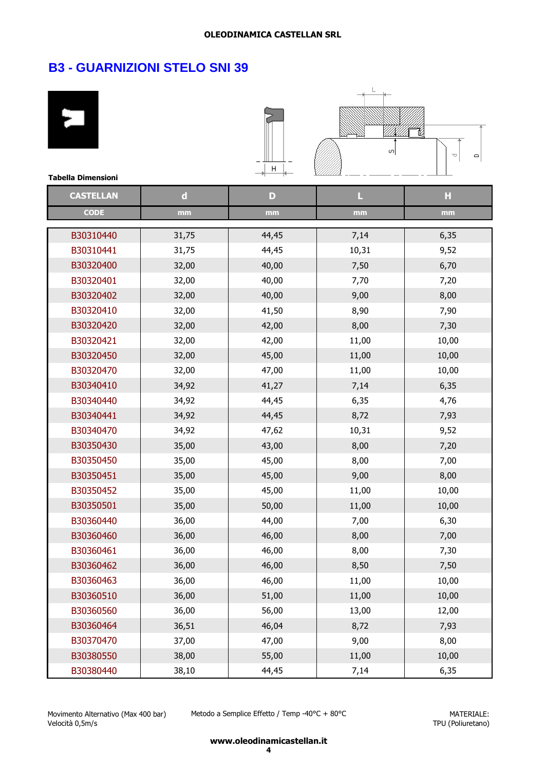| <b>Tabella Dimensioni</b> |             | Η     | $\sigma$ | T<br>$\Box$ |
|---------------------------|-------------|-------|----------|-------------|
| <b>CASTELLAN</b>          | $\mathbf d$ | D     | L        | H           |
| <b>CODE</b>               | mm          | mm    | mm       | mm          |
| B30310440                 | 31,75       | 44,45 | 7,14     | 6,35        |
| B30310441                 | 31,75       | 44,45 | 10,31    | 9,52        |
| B30320400                 | 32,00       | 40,00 | 7,50     | 6,70        |
| B30320401                 | 32,00       | 40,00 | 7,70     | 7,20        |
| B30320402                 | 32,00       | 40,00 | 9,00     | 8,00        |
| B30320410                 | 32,00       | 41,50 | 8,90     | 7,90        |
| B30320420                 | 32,00       | 42,00 | 8,00     | 7,30        |
| B30320421                 | 32,00       | 42,00 | 11,00    | 10,00       |
| B30320450                 | 32,00       | 45,00 | 11,00    | 10,00       |
| B30320470                 | 32,00       | 47,00 | 11,00    | 10,00       |
| B30340410                 | 34,92       | 41,27 | 7,14     | 6,35        |
| B30340440                 | 34,92       | 44,45 | 6,35     | 4,76        |
| B30340441                 | 34,92       | 44,45 | 8,72     | 7,93        |
| B30340470                 | 34,92       | 47,62 | 10,31    | 9,52        |
| B30350430                 | 35,00       | 43,00 | 8,00     | 7,20        |
| B30350450                 | 35,00       | 45,00 | 8,00     | 7,00        |
| B30350451                 | 35,00       | 45,00 | 9,00     | 8,00        |
| B30350452                 | 35,00       | 45,00 | 11,00    | 10,00       |
| B30350501                 | 35,00       | 50,00 | 11,00    | 10,00       |
| B30360440                 | 36,00       | 44,00 | 7,00     | 6,30        |
| B30360460                 | 36,00       | 46,00 | 8,00     | 7,00        |
| B30360461                 | 36,00       | 46,00 | 8,00     | 7,30        |
| B30360462                 | 36,00       | 46,00 | 8,50     | 7,50        |
| B30360463                 | 36,00       | 46,00 | 11,00    | 10,00       |
| B30360510                 | 36,00       | 51,00 | 11,00    | 10,00       |
| B30360560                 | 36,00       | 56,00 | 13,00    | 12,00       |
| B30360464                 | 36,51       | 46,04 | 8,72     | 7,93        |
| B30370470                 | 37,00       | 47,00 | 9,00     | 8,00        |
| B30380550                 | 38,00       | 55,00 | 11,00    | 10,00       |
| B30380440                 | 38,10       | 44,45 | 7,14     | 6,35        |

Movimento Alternativo (Max 400 bar) Velocità 0,5m/s

Metodo a Semplice Effetto / Temp -40°C + 80°C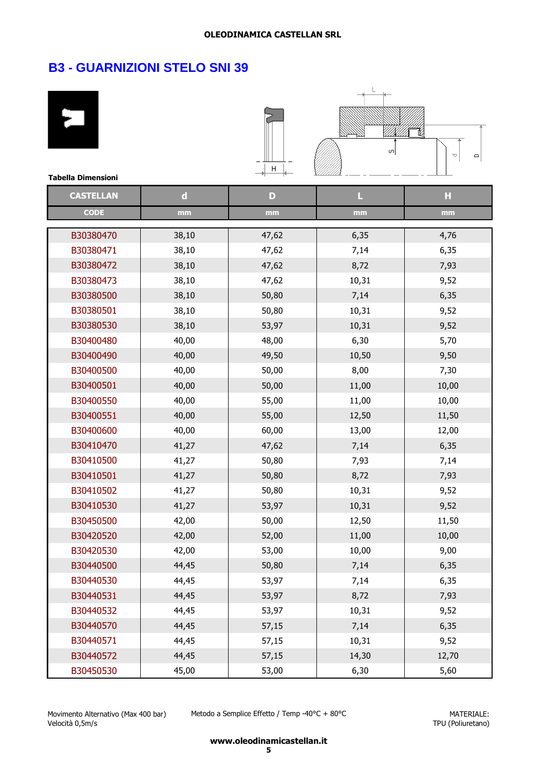# **B3 - GUARNIZIONI STELO SNI 39**

۰

| <b>Tabella Dimensioni</b> |             | H            | ωļ    | p<br>$\Box$ |
|---------------------------|-------------|--------------|-------|-------------|
| <b>CASTELLAN</b>          | $\mathbf d$ | $\mathbf{D}$ | L     | н           |
| <b>CODE</b>               | mm          | mm           | mm    | mm          |
| B30380470                 | 38,10       | 47,62        | 6,35  | 4,76        |
| B30380471                 | 38,10       | 47,62        | 7,14  | 6,35        |
| B30380472                 | 38,10       | 47,62        | 8,72  | 7,93        |
| B30380473                 | 38,10       | 47,62        | 10,31 | 9,52        |
| B30380500                 | 38,10       | 50,80        | 7,14  | 6,35        |
| B30380501                 | 38,10       | 50,80        | 10,31 | 9,52        |
| B30380530                 | 38,10       | 53,97        | 10,31 | 9,52        |
| B30400480                 | 40,00       | 48,00        | 6,30  | 5,70        |
| B30400490                 | 40,00       | 49,50        | 10,50 | 9,50        |
| B30400500                 | 40,00       | 50,00        | 8,00  | 7,30        |
| B30400501                 | 40,00       | 50,00        | 11,00 | 10,00       |
| B30400550                 | 40,00       | 55,00        | 11,00 | 10,00       |
| B30400551                 | 40,00       | 55,00        | 12,50 | 11,50       |
| B30400600                 | 40,00       | 60,00        | 13,00 | 12,00       |
| B30410470                 | 41,27       | 47,62        | 7,14  | 6,35        |
| B30410500                 | 41,27       | 50,80        | 7,93  | 7,14        |
| B30410501                 | 41,27       | 50,80        | 8,72  | 7,93        |
| B30410502                 | 41,27       | 50,80        | 10,31 | 9,52        |
| B30410530                 | 41,27       | 53,97        | 10,31 | 9,52        |
| B30450500                 | 42,00       | 50,00        | 12,50 | 11,50       |
| B30420520                 | 42,00       | 52,00        | 11,00 | 10,00       |
| B30420530                 | 42,00       | 53,00        | 10,00 | 9,00        |
| B30440500                 | 44,45       | 50,80        | 7,14  | 6,35        |
| B30440530                 | 44,45       | 53,97        | 7,14  | 6,35        |
| B30440531                 | 44,45       | 53,97        | 8,72  | 7,93        |
| B30440532                 | 44,45       | 53,97        | 10,31 | 9,52        |
| B30440570                 | 44,45       | 57,15        | 7,14  | 6,35        |
| B30440571                 | 44,45       | 57,15        | 10,31 | 9,52        |
| B30440572                 | 44,45       | 57,15        | 14,30 | 12,70       |
| B30450530                 | 45,00       | 53,00        | 6,30  | 5,60        |

Movimento Alternativo (Max 400 bar) Velocità 0,5m/s

Metodo a Semplice Effetto / Temp -40°C + 80°C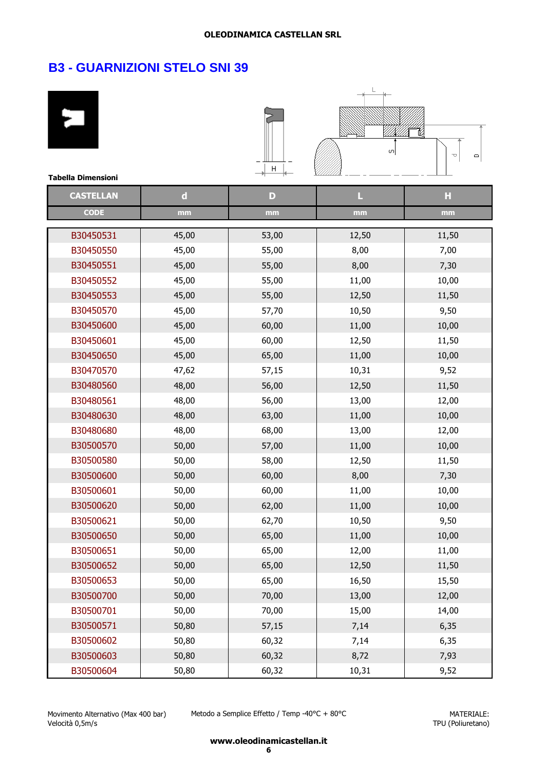# **B3 - GUARNIZIONI STELO SNI 39**

۰

| <b>Tabella Dimensioni</b> |             | Н     | ωļ    | M<br>U<br>o |
|---------------------------|-------------|-------|-------|-------------|
| <b>CASTELLAN</b>          | $\mathbf d$ | D     | L     | н           |
| <b>CODE</b>               | mm          | mm    | mm    | mm          |
| B30450531                 | 45,00       | 53,00 | 12,50 | 11,50       |
| B30450550                 | 45,00       | 55,00 | 8,00  | 7,00        |
| B30450551                 | 45,00       | 55,00 | 8,00  | 7,30        |
| B30450552                 | 45,00       | 55,00 | 11,00 | 10,00       |
| B30450553                 | 45,00       | 55,00 | 12,50 | 11,50       |
| B30450570                 | 45,00       | 57,70 | 10,50 | 9,50        |
| B30450600                 | 45,00       | 60,00 | 11,00 | 10,00       |
| B30450601                 | 45,00       | 60,00 | 12,50 | 11,50       |
| B30450650                 | 45,00       | 65,00 | 11,00 | 10,00       |
| B30470570                 | 47,62       | 57,15 | 10,31 | 9,52        |
| B30480560                 | 48,00       | 56,00 | 12,50 | 11,50       |
| B30480561                 | 48,00       | 56,00 | 13,00 | 12,00       |
| B30480630                 | 48,00       | 63,00 | 11,00 | 10,00       |
| B30480680                 | 48,00       | 68,00 | 13,00 | 12,00       |
| B30500570                 | 50,00       | 57,00 | 11,00 | 10,00       |
| B30500580                 | 50,00       | 58,00 | 12,50 | 11,50       |
| B30500600                 | 50,00       | 60,00 | 8,00  | 7,30        |
| B30500601                 | 50,00       | 60,00 | 11,00 | 10,00       |
| B30500620                 | 50,00       | 62,00 | 11,00 | 10,00       |
| B30500621                 | 50,00       | 62,70 | 10,50 | 9,50        |
| B30500650                 | 50,00       | 65,00 | 11,00 | 10,00       |
| B30500651                 | 50,00       | 65,00 | 12,00 | 11,00       |
| B30500652                 | 50,00       | 65,00 | 12,50 | 11,50       |
| B30500653                 | 50,00       | 65,00 | 16,50 | 15,50       |
| B30500700                 | 50,00       | 70,00 | 13,00 | 12,00       |
| B30500701                 | 50,00       | 70,00 | 15,00 | 14,00       |
| B30500571                 | 50,80       | 57,15 | 7,14  | 6,35        |
| B30500602                 | 50,80       | 60,32 | 7,14  | 6,35        |
| B30500603                 | 50,80       | 60,32 | 8,72  | 7,93        |
| B30500604                 | 50,80       | 60,32 | 10,31 | 9,52        |

Movimento Alternativo (Max 400 bar) Velocità 0,5m/s

Metodo a Semplice Effetto / Temp -40°C + 80°C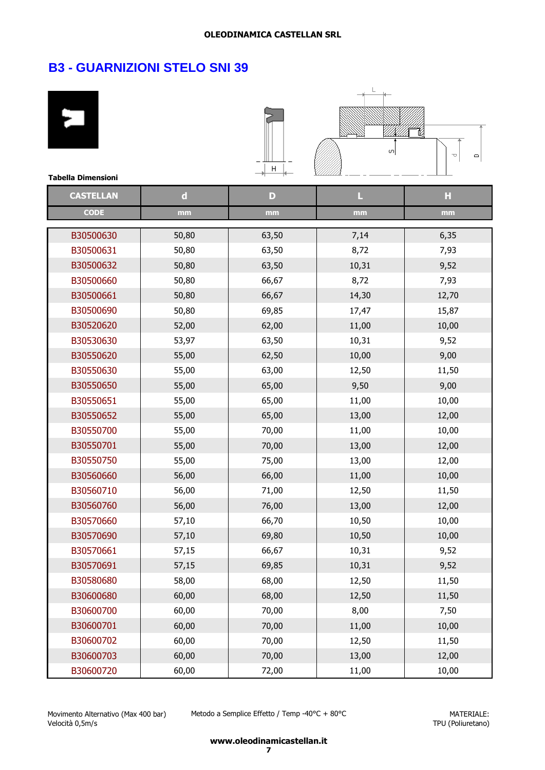| <b>Tabella Dimensioni</b> |             | Н     | O)    | ta<br>U<br>$\Box$ |
|---------------------------|-------------|-------|-------|-------------------|
| <b>CASTELLAN</b>          | $\mathbf d$ | D     | П     | H                 |
| <b>CODE</b>               | mm          | mm    | mm    | mm                |
| B30500630                 | 50,80       | 63,50 | 7,14  | 6,35              |
| B30500631                 | 50,80       | 63,50 | 8,72  | 7,93              |
| B30500632                 | 50,80       | 63,50 | 10,31 | 9,52              |
| B30500660                 | 50,80       | 66,67 | 8,72  | 7,93              |
| B30500661                 | 50,80       | 66,67 | 14,30 | 12,70             |
| B30500690                 | 50,80       | 69,85 | 17,47 | 15,87             |
| B30520620                 | 52,00       | 62,00 | 11,00 | 10,00             |
| B30530630                 | 53,97       | 63,50 | 10,31 | 9,52              |
| B30550620                 | 55,00       | 62,50 | 10,00 | 9,00              |
| B30550630                 | 55,00       | 63,00 | 12,50 | 11,50             |
| B30550650                 | 55,00       | 65,00 | 9,50  | 9,00              |
| B30550651                 | 55,00       | 65,00 | 11,00 | 10,00             |
| B30550652                 | 55,00       | 65,00 | 13,00 | 12,00             |
| B30550700                 | 55,00       | 70,00 | 11,00 | 10,00             |
| B30550701                 | 55,00       | 70,00 | 13,00 | 12,00             |
| B30550750                 | 55,00       | 75,00 | 13,00 | 12,00             |
| B30560660                 | 56,00       | 66,00 | 11,00 | 10,00             |
| B30560710                 | 56,00       | 71,00 | 12,50 | 11,50             |
| B30560760                 | 56,00       | 76,00 | 13,00 | 12,00             |
| B30570660                 | 57,10       | 66,70 | 10,50 | 10,00             |
| B30570690                 | 57,10       | 69,80 | 10,50 | 10,00             |
| B30570661                 | 57,15       | 66,67 | 10,31 | 9,52              |
| B30570691                 | 57,15       | 69,85 | 10,31 | 9,52              |
| B30580680                 | 58,00       | 68,00 | 12,50 | 11,50             |
| B30600680                 | 60,00       | 68,00 | 12,50 | 11,50             |
| B30600700                 | 60,00       | 70,00 | 8,00  | 7,50              |
| B30600701                 | 60,00       | 70,00 | 11,00 | 10,00             |
| B30600702                 | 60,00       | 70,00 | 12,50 | 11,50             |
| B30600703                 | 60,00       | 70,00 | 13,00 | 12,00             |
| B30600720                 | 60,00       | 72,00 | 11,00 | 10,00             |

Metodo a Semplice Effetto / Temp -40°C + 80°C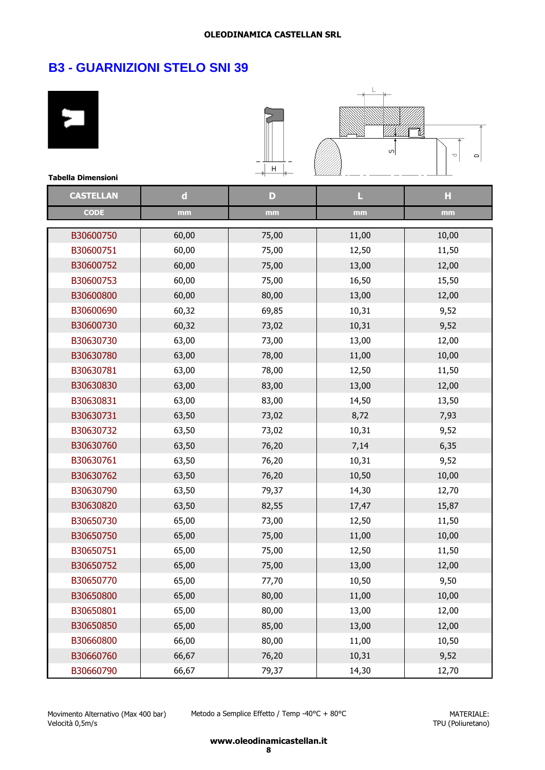# **B3 - GUARNIZIONI STELO SNI 39**

۰

| <b>Tabella Dimensioni</b> |             | Н     | ωļ    | ĭØ<br>U<br>$\Box$ |
|---------------------------|-------------|-------|-------|-------------------|
| <b>CASTELLAN</b>          | $\mathbf d$ | D     | L     | H                 |
| <b>CODE</b>               | mm          | mm    | mm    | mm                |
| B30600750                 | 60,00       | 75,00 | 11,00 | 10,00             |
| B30600751                 | 60,00       | 75,00 | 12,50 | 11,50             |
| B30600752                 | 60,00       | 75,00 | 13,00 | 12,00             |
| B30600753                 | 60,00       | 75,00 | 16,50 | 15,50             |
| B30600800                 | 60,00       | 80,00 | 13,00 | 12,00             |
| B30600690                 | 60,32       | 69,85 | 10,31 | 9,52              |
| B30600730                 | 60,32       | 73,02 | 10,31 | 9,52              |
| B30630730                 | 63,00       | 73,00 | 13,00 | 12,00             |
| B30630780                 | 63,00       | 78,00 | 11,00 | 10,00             |
| B30630781                 | 63,00       | 78,00 | 12,50 | 11,50             |
| B30630830                 | 63,00       | 83,00 | 13,00 | 12,00             |
| B30630831                 | 63,00       | 83,00 | 14,50 | 13,50             |
| B30630731                 | 63,50       | 73,02 | 8,72  | 7,93              |
| B30630732                 | 63,50       | 73,02 | 10,31 | 9,52              |
| B30630760                 | 63,50       | 76,20 | 7,14  | 6,35              |
| B30630761                 | 63,50       | 76,20 | 10,31 | 9,52              |
| B30630762                 | 63,50       | 76,20 | 10,50 | 10,00             |
| B30630790                 | 63,50       | 79,37 | 14,30 | 12,70             |
| B30630820                 | 63,50       | 82,55 | 17,47 | 15,87             |
| B30650730                 | 65,00       | 73,00 | 12,50 | 11,50             |
| B30650750                 | 65,00       | 75,00 | 11,00 | 10,00             |
| B30650751                 | 65,00       | 75,00 | 12,50 | 11,50             |
| B30650752                 | 65,00       | 75,00 | 13,00 | 12,00             |
| B30650770                 | 65,00       | 77,70 | 10,50 | 9,50              |
| B30650800                 | 65,00       | 80,00 | 11,00 | 10,00             |
| B30650801                 | 65,00       | 80,00 | 13,00 | 12,00             |
| B30650850                 | 65,00       | 85,00 | 13,00 | 12,00             |
| B30660800                 | 66,00       | 80,00 | 11,00 | 10,50             |
| B30660760                 | 66,67       | 76,20 | 10,31 | 9,52              |
| B30660790                 | 66,67       | 79,37 | 14,30 | 12,70             |

Movimento Alternativo (Max 400 bar) Velocità 0,5m/s

Metodo a Semplice Effetto / Temp -40°C + 80°C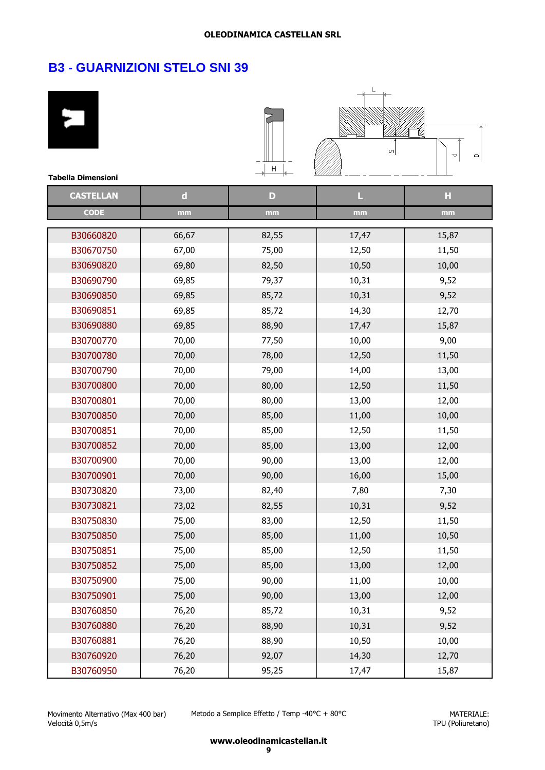| <b>Tabella Dimensioni</b> |             | $\mathsf{H}%$ | 이     | 12<br>U<br>$\Box$ |
|---------------------------|-------------|---------------|-------|-------------------|
| <b>CASTELLAN</b>          | $\mathbf d$ | $\mathbf{D}$  | L     | H                 |
| <b>CODE</b>               |             |               |       |                   |
|                           | mm          | mm            | mm    | mm                |
| B30660820                 | 66,67       | 82,55         | 17,47 | 15,87             |
| B30670750                 | 67,00       | 75,00         | 12,50 | 11,50             |
| B30690820                 | 69,80       | 82,50         | 10,50 | 10,00             |
| B30690790                 | 69,85       | 79,37         | 10,31 | 9,52              |
| B30690850                 | 69,85       | 85,72         | 10,31 | 9,52              |
| B30690851                 | 69,85       | 85,72         | 14,30 | 12,70             |
| B30690880                 | 69,85       | 88,90         | 17,47 | 15,87             |
| B30700770                 | 70,00       | 77,50         | 10,00 | 9,00              |
| B30700780                 | 70,00       | 78,00         | 12,50 | 11,50             |
| B30700790                 | 70,00       | 79,00         | 14,00 | 13,00             |
| B30700800                 | 70,00       | 80,00         | 12,50 | 11,50             |
| B30700801                 | 70,00       | 80,00         | 13,00 | 12,00             |
| B30700850                 | 70,00       | 85,00         | 11,00 | 10,00             |
| B30700851                 | 70,00       | 85,00         | 12,50 | 11,50             |
| B30700852                 | 70,00       | 85,00         | 13,00 | 12,00             |
| B30700900                 | 70,00       | 90,00         | 13,00 | 12,00             |
| B30700901                 | 70,00       | 90,00         | 16,00 | 15,00             |
| B30730820                 | 73,00       | 82,40         | 7,80  | 7,30              |
| B30730821                 | 73,02       | 82,55         | 10,31 | 9,52              |
| B30750830                 | 75,00       | 83,00         | 12,50 | 11,50             |
| B30750850                 | 75,00       | 85,00         | 11,00 | 10,50             |
| B30750851                 | 75,00       | 85,00         | 12,50 | 11,50             |
| B30750852                 | 75,00       | 85,00         | 13,00 | 12,00             |
| B30750900                 | 75,00       | 90,00         | 11,00 | 10,00             |
| B30750901                 | 75,00       | 90,00         | 13,00 | 12,00             |
| B30760850                 | 76,20       | 85,72         | 10,31 | 9,52              |
| B30760880                 | 76,20       | 88,90         | 10,31 | 9,52              |
| B30760881                 | 76,20       | 88,90         | 10,50 | 10,00             |
| B30760920                 | 76,20       | 92,07         | 14,30 | 12,70             |
| B30760950                 | 76,20       | 95,25         | 17,47 | 15,87             |

Movimento Alternativo (Max 400 bar) Velocità 0,5m/s

Metodo a Semplice Effetto / Temp -40°C + 80°C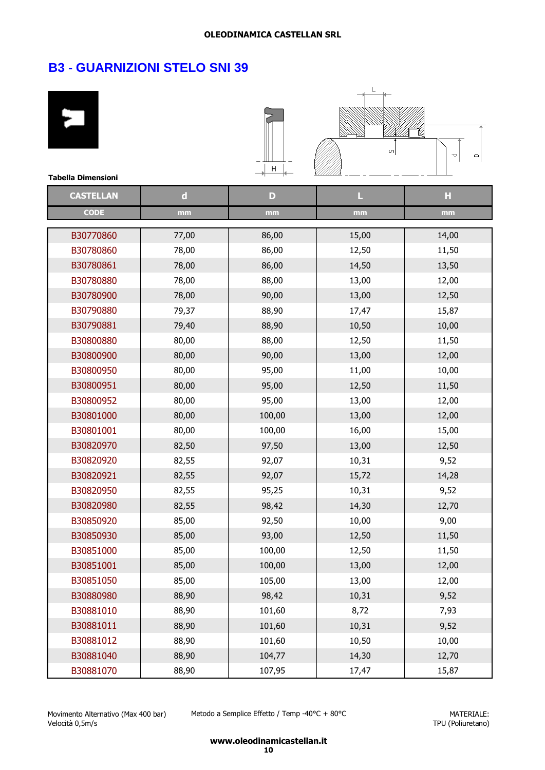# **B3 - GUARNIZIONI STELO SNI 39**

| <b>Tabella Dimensioni</b> |             | H      | O)    | ı<br>p<br>$\Box$ |
|---------------------------|-------------|--------|-------|------------------|
| <b>CASTELLAN</b>          | $\mathbf d$ | D      | L     | H                |
| <b>CODE</b>               | mm          | mm     | mm    | mm               |
| B30770860                 | 77,00       | 86,00  | 15,00 | 14,00            |
| B30780860                 | 78,00       | 86,00  | 12,50 | 11,50            |
| B30780861                 | 78,00       | 86,00  | 14,50 | 13,50            |
| B30780880                 | 78,00       | 88,00  | 13,00 | 12,00            |
| B30780900                 | 78,00       | 90,00  | 13,00 | 12,50            |
| B30790880                 | 79,37       | 88,90  | 17,47 | 15,87            |
| B30790881                 | 79,40       | 88,90  | 10,50 | 10,00            |
| B30800880                 | 80,00       | 88,00  | 12,50 | 11,50            |
| B30800900                 | 80,00       | 90,00  | 13,00 | 12,00            |
| B30800950                 | 80,00       | 95,00  | 11,00 | 10,00            |
| B30800951                 | 80,00       | 95,00  | 12,50 | 11,50            |
| B30800952                 | 80,00       | 95,00  | 13,00 | 12,00            |
| B30801000                 | 80,00       | 100,00 | 13,00 | 12,00            |
| B30801001                 | 80,00       | 100,00 | 16,00 | 15,00            |
| B30820970                 | 82,50       | 97,50  | 13,00 | 12,50            |
| B30820920                 | 82,55       | 92,07  | 10,31 | 9,52             |
| B30820921                 | 82,55       | 92,07  | 15,72 | 14,28            |
| B30820950                 | 82,55       | 95,25  | 10,31 | 9,52             |
| B30820980                 | 82,55       | 98,42  | 14,30 | 12,70            |
| B30850920                 | 85,00       | 92,50  | 10,00 | 9,00             |
| B30850930                 | 85,00       | 93,00  | 12,50 | 11,50            |
| B30851000                 | 85,00       | 100,00 | 12,50 | 11,50            |
| B30851001                 | 85,00       | 100,00 | 13,00 | 12,00            |
| B30851050                 | 85,00       | 105,00 | 13,00 | 12,00            |
| B30880980                 | 88,90       | 98,42  | 10,31 | 9,52             |
| B30881010                 | 88,90       | 101,60 | 8,72  | 7,93             |
| B30881011                 | 88,90       | 101,60 | 10,31 | 9,52             |
| B30881012                 | 88,90       | 101,60 | 10,50 | 10,00            |
| B30881040                 | 88,90       | 104,77 | 14,30 | 12,70            |
| B30881070                 | 88,90       | 107,95 | 17,47 | 15,87            |

Movimento Alternativo (Max 400 bar) Velocità 0,5m/s

Metodo a Semplice Effetto / Temp -40°C + 80°C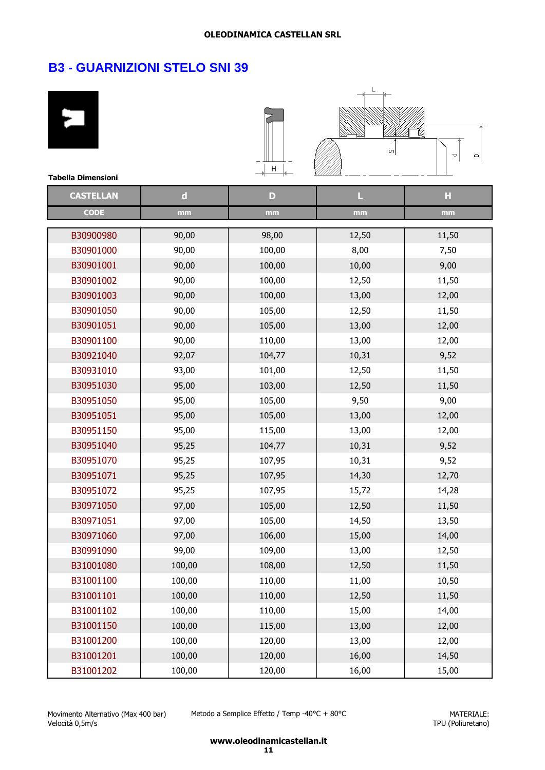| <b>Tabella Dimensioni</b> |             | Н            | ωļ    | ta<br>U<br>$\Box$ |
|---------------------------|-------------|--------------|-------|-------------------|
| <b>CASTELLAN</b>          | $\mathbf d$ | $\mathbf{D}$ | L     | H                 |
| <b>CODE</b>               | mm          | mm           | mm    | mm                |
|                           |             |              |       |                   |
| B30900980                 | 90,00       | 98,00        | 12,50 | 11,50             |
| B30901000                 | 90,00       | 100,00       | 8,00  | 7,50              |
| B30901001                 | 90,00       | 100,00       | 10,00 | 9,00              |
| B30901002                 | 90,00       | 100,00       | 12,50 | 11,50             |
| B30901003                 | 90,00       | 100,00       | 13,00 | 12,00             |
| B30901050                 | 90,00       | 105,00       | 12,50 | 11,50             |
| B30901051                 | 90,00       | 105,00       | 13,00 | 12,00             |
| B30901100                 | 90,00       | 110,00       | 13,00 | 12,00             |
| B30921040                 | 92,07       | 104,77       | 10,31 | 9,52              |
| B30931010                 | 93,00       | 101,00       | 12,50 | 11,50             |
| B30951030                 | 95,00       | 103,00       | 12,50 | 11,50             |
| B30951050                 | 95,00       | 105,00       | 9,50  | 9,00              |
| B30951051                 | 95,00       | 105,00       | 13,00 | 12,00             |
| B30951150                 | 95,00       | 115,00       | 13,00 | 12,00             |
| B30951040                 | 95,25       | 104,77       | 10,31 | 9,52              |
| B30951070                 | 95,25       | 107,95       | 10,31 | 9,52              |
| B30951071                 | 95,25       | 107,95       | 14,30 | 12,70             |
| B30951072                 | 95,25       | 107,95       | 15,72 | 14,28             |
| B30971050                 | 97,00       | 105,00       | 12,50 | 11,50             |
| B30971051                 | 97,00       | 105,00       | 14,50 | 13,50             |
| B30971060                 | 97,00       | 106,00       | 15,00 | 14,00             |
| B30991090                 | 99,00       | 109,00       | 13,00 | 12,50             |
| B31001080                 | 100,00      | 108,00       | 12,50 | 11,50             |
| B31001100                 | 100,00      | 110,00       | 11,00 | 10,50             |
| B31001101                 | 100,00      | 110,00       | 12,50 | 11,50             |
| B31001102                 | 100,00      | 110,00       | 15,00 | 14,00             |
| B31001150                 | 100,00      | 115,00       | 13,00 | 12,00             |
| B31001200                 | 100,00      | 120,00       | 13,00 | 12,00             |
| B31001201                 | 100,00      | 120,00       | 16,00 | 14,50             |
| B31001202                 | 100,00      | 120,00       | 16,00 | 15,00             |

Metodo a Semplice Effetto / Temp -40°C + 80°C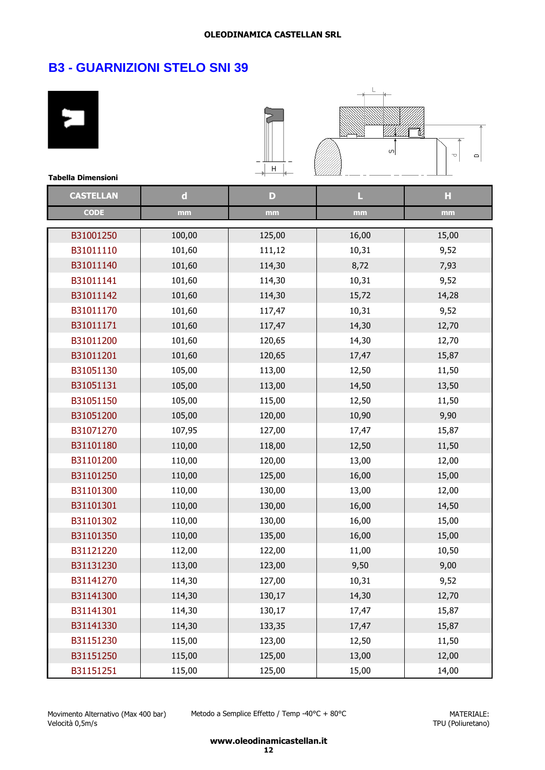| <b>Tabella Dimensioni</b> |             | Н            | $\sigma$ | U<br>$\Box$ |
|---------------------------|-------------|--------------|----------|-------------|
| <b>CASTELLAN</b>          | $\mathbf d$ | $\mathbf{D}$ | L        | H           |
| <b>CODE</b>               | mm          | mm           | mm       | mm          |
| B31001250                 | 100,00      | 125,00       | 16,00    | 15,00       |
| B31011110                 | 101,60      | 111,12       | 10,31    | 9,52        |
| B31011140                 | 101,60      | 114,30       | 8,72     | 7,93        |
| B31011141                 | 101,60      | 114,30       | 10,31    | 9,52        |
| B31011142                 | 101,60      | 114,30       | 15,72    | 14,28       |
| B31011170                 | 101,60      | 117,47       | 10,31    | 9,52        |
| B31011171                 | 101,60      | 117,47       | 14,30    | 12,70       |
| B31011200                 | 101,60      | 120,65       | 14,30    | 12,70       |
| B31011201                 | 101,60      | 120,65       | 17,47    | 15,87       |
| B31051130                 | 105,00      | 113,00       | 12,50    | 11,50       |
| B31051131                 | 105,00      | 113,00       | 14,50    | 13,50       |
| B31051150                 | 105,00      | 115,00       | 12,50    | 11,50       |
| B31051200                 | 105,00      | 120,00       | 10,90    | 9,90        |
| B31071270                 | 107,95      | 127,00       | 17,47    | 15,87       |
| B31101180                 | 110,00      | 118,00       | 12,50    | 11,50       |
| B31101200                 | 110,00      | 120,00       | 13,00    | 12,00       |
| B31101250                 | 110,00      | 125,00       | 16,00    | 15,00       |
| B31101300                 | 110,00      | 130,00       | 13,00    | 12,00       |
| B31101301                 | 110,00      | 130,00       | 16,00    | 14,50       |
| B31101302                 | 110,00      | 130,00       | 16,00    | 15,00       |
| B31101350                 | 110,00      | 135,00       | 16,00    | 15,00       |
| B31121220                 | 112,00      | 122,00       | 11,00    | 10,50       |
| B31131230                 | 113,00      | 123,00       | 9,50     | 9,00        |
| B31141270                 | 114,30      | 127,00       | 10,31    | 9,52        |
| B31141300                 | 114,30      | 130,17       | 14,30    | 12,70       |
| B31141301                 | 114,30      | 130,17       | 17,47    | 15,87       |
| B31141330                 | 114,30      | 133,35       | 17,47    | 15,87       |
| B31151230                 | 115,00      | 123,00       | 12,50    | 11,50       |
| B31151250                 | 115,00      | 125,00       | 13,00    | 12,00       |
| B31151251                 | 115,00      | 125,00       | 15,00    | 14,00       |

Movimento Alternativo (Max 400 bar) Velocità 0,5m/s

Metodo a Semplice Effetto / Temp -40°C + 80°C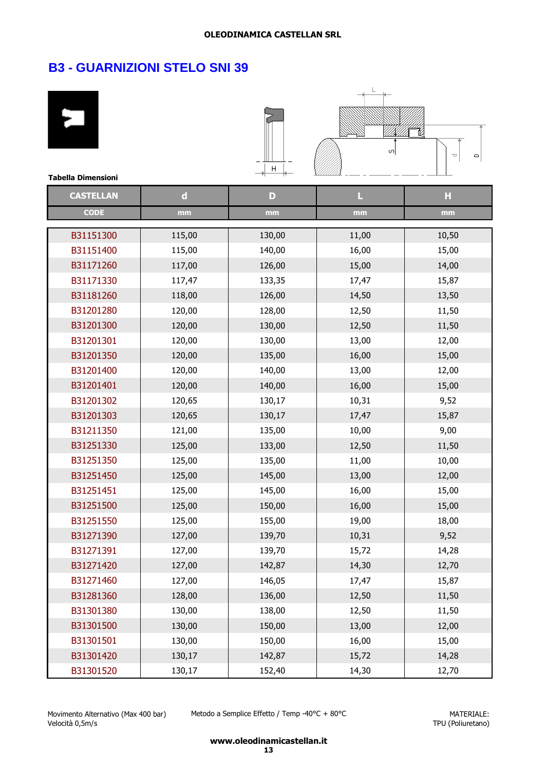| <b>Tabella Dimensioni</b> |             | Н      | $\sigma$ | U<br>Φ |
|---------------------------|-------------|--------|----------|--------|
| <b>CASTELLAN</b>          | $\mathbf d$ | D      | L        | H      |
| <b>CODE</b>               | mm          | mm     | mm       | mm     |
|                           |             |        |          |        |
| B31151300                 | 115,00      | 130,00 | 11,00    | 10,50  |
| B31151400                 | 115,00      | 140,00 | 16,00    | 15,00  |
| B31171260                 | 117,00      | 126,00 | 15,00    | 14,00  |
| B31171330                 | 117,47      | 133,35 | 17,47    | 15,87  |
| B31181260                 | 118,00      | 126,00 | 14,50    | 13,50  |
| B31201280                 | 120,00      | 128,00 | 12,50    | 11,50  |
| B31201300                 | 120,00      | 130,00 | 12,50    | 11,50  |
| B31201301                 | 120,00      | 130,00 | 13,00    | 12,00  |
| B31201350                 | 120,00      | 135,00 | 16,00    | 15,00  |
| B31201400                 | 120,00      | 140,00 | 13,00    | 12,00  |
| B31201401                 | 120,00      | 140,00 | 16,00    | 15,00  |
| B31201302                 | 120,65      | 130,17 | 10,31    | 9,52   |
| B31201303                 | 120,65      | 130,17 | 17,47    | 15,87  |
| B31211350                 | 121,00      | 135,00 | 10,00    | 9,00   |
| B31251330                 | 125,00      | 133,00 | 12,50    | 11,50  |
| B31251350                 | 125,00      | 135,00 | 11,00    | 10,00  |
| B31251450                 | 125,00      | 145,00 | 13,00    | 12,00  |
| B31251451                 | 125,00      | 145,00 | 16,00    | 15,00  |
| B31251500                 | 125,00      | 150,00 | 16,00    | 15,00  |
| B31251550                 | 125,00      | 155,00 | 19,00    | 18,00  |
| B31271390                 | 127,00      | 139,70 | 10,31    | 9,52   |
| B31271391                 | 127,00      | 139,70 | 15,72    | 14,28  |
| B31271420                 | 127,00      | 142,87 | 14,30    | 12,70  |
| B31271460                 | 127,00      | 146,05 | 17,47    | 15,87  |
| B31281360                 | 128,00      | 136,00 | 12,50    | 11,50  |
| B31301380                 | 130,00      | 138,00 | 12,50    | 11,50  |
| B31301500                 | 130,00      | 150,00 | 13,00    | 12,00  |
| B31301501                 | 130,00      | 150,00 | 16,00    | 15,00  |
| B31301420                 | 130,17      | 142,87 | 15,72    | 14,28  |
| B31301520                 | 130,17      | 152,40 | 14,30    | 12,70  |

Movimento Alternativo (Max 400 bar) Velocità 0,5m/s

Metodo a Semplice Effetto / Temp -40°C + 80°C